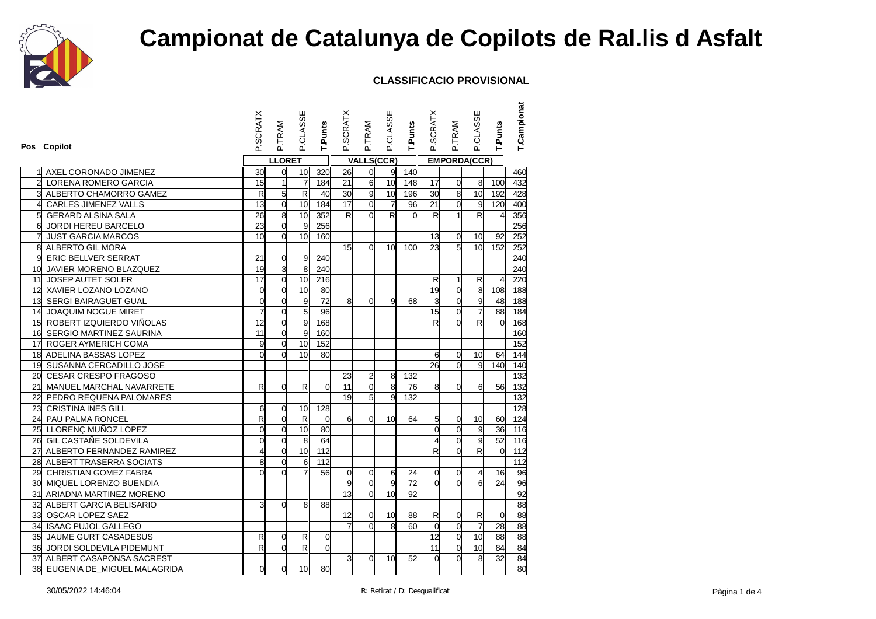

|                | Pos Copilot                    | <b>SCRATX</b><br>ட்     | P.TRAM          | P.CLASSE                | <b>T.Punts</b>  | P.SCRATX        | P.TRAM            | P.CLASSE                | T.Punts  | P.SCRATX       | P.TRAM         | P.CLASSE                 | T.Punts        | T.Campionat |
|----------------|--------------------------------|-------------------------|-----------------|-------------------------|-----------------|-----------------|-------------------|-------------------------|----------|----------------|----------------|--------------------------|----------------|-------------|
|                |                                |                         | <b>LLORET</b>   |                         |                 |                 | <b>VALLS(CCR)</b> |                         |          |                |                | <b>EMPORDA(CCR)</b>      |                |             |
|                | AXEL CORONADO JIMENEZ          | 30                      | $\mathbf 0$     | 10                      | 320             | 26              | $\overline{0}$    | 9                       | 140      |                |                |                          |                | 460         |
| $\overline{2}$ | LORENA ROMERO GARCIA           | 15                      | $\overline{1}$  | $\overline{7}$          | 184             | 21              | $\overline{6}$    | 10                      | 148      | 17             | $\overline{0}$ | 8                        | 100            | 432         |
|                | ALBERTO CHAMORRO GAMEZ         | $\overline{\mathsf{R}}$ | $5\overline{a}$ | $\overline{\mathsf{R}}$ | 40              | 30              | $\overline{9}$    | 10                      | 196      | 30             | $\overline{8}$ | 10                       | 192            | 428         |
| 4              | CARLES JIMENEZ VALLS           | 13                      | $\mathbf 0$     | 10                      | 184             | $\overline{17}$ | $\overline{0}$    | $\overline{7}$          | 96       | 21             | $\mathbf 0$    | 9                        | 120            | 400         |
| 5 <sup>1</sup> | <b>GERARD ALSINA SALA</b>      | 26                      | $\overline{8}$  | 10                      | 352             | R               | $\Omega$          | $\overline{\mathsf{R}}$ | $\Omega$ | R              | $\mathbf{1}$   | $\overline{\mathbf{z}}$  | $\overline{4}$ | 356         |
| $\mathsf{d}$   | JORDI HEREU BARCELO            | 23                      | $\overline{0}$  | 9                       | 256             |                 |                   |                         |          |                |                |                          |                | 256         |
| 71             | <b>JUST GARCIA MARCOS</b>      | 10                      | $\mathbf 0$     | 10                      | 160             |                 |                   |                         |          | 13             | $\overline{0}$ | 10                       | 92             | 252         |
| 8              | ALBERTO GIL MORA               |                         |                 |                         |                 | 15 <sup>1</sup> | $\Omega$          | 10 <sup>l</sup>         | 100      | 23             | 5              | 10                       | 152            | 252         |
| 9l             | <b>ERIC BELLVER SERRAT</b>     | 21                      | $\mathsf{O}$    | 9                       | 240             |                 |                   |                         |          |                |                |                          |                | 240         |
|                | 10 JAVIER MORENO BLAZQUEZ      | 19                      | 3               | 8                       | 240             |                 |                   |                         |          |                |                |                          |                | 240         |
| 11             | JOSEP AUTET SOLER              | 17                      | $\overline{0}$  | 10                      | 216             |                 |                   |                         |          | R              | $\mathbf{1}$   | R                        | $\overline{4}$ | 220         |
|                | 12 XAVIER LOZANO LOZANO        | $\mathbf 0$             | $\mathbf 0$     | 10                      | 80              |                 |                   |                         |          | 19             | $\overline{0}$ | $\overline{8}$           | 108            | 188         |
|                | 13 SERGI BAIRAGUET GUAL        | $\overline{0}$          | $\overline{0}$  | 9                       | 72              | 8 <sup>  </sup> | $\Omega$          | g                       | 68       | 3              | $\overline{0}$ | 9                        | 48             | 188         |
|                | 14 JOAQUIM NOGUE MIRET         | 7                       | $\overline{0}$  | 5 <sup>1</sup>          | 96              |                 |                   |                         |          | 15             | $\overline{0}$ | $\overline{7}$           | 88             | 184         |
|                | 15 ROBERT IZQUIERDO VIÑOLAS    | 12                      | $\overline{0}$  | 9                       | 168             |                 |                   |                         |          | $\mathsf{R}$   | $\Omega$       | $\mathsf{R}$             | $\Omega$       | 168         |
|                | 16 SERGIO MARTINEZ SAURINA     | 11                      | $\overline{0}$  | $\overline{9}$          | 160             |                 |                   |                         |          |                |                |                          |                | 160         |
|                | 17 ROGER AYMERICH COMA         | 9                       | $\mathbf 0$     | 10                      | 152             |                 |                   |                         |          |                |                |                          |                | 152         |
|                | 18 ADELINA BASSAS LOPEZ        | $\Omega$                | $\Omega$        | 10 <sup>1</sup>         | 80              |                 |                   |                         |          | $\mathbf{g}$   | 0              | 10                       | 64             | 144         |
|                | 19 SUSANNA CERCADILLO JOSE     |                         |                 |                         |                 |                 |                   |                         |          | 26             | $\overline{0}$ | 9                        | 140            | 140         |
|                | 20 CESAR CRESPO FRAGOSO        |                         |                 |                         |                 | 23              | $\overline{2}$    | 8                       | 132      |                |                |                          |                | 132         |
|                | 21 MANUEL MARCHAL NAVARRETE    | $\mathsf{R}$            | $\overline{0}$  | R                       | $\overline{0}$  | 11              | $\overline{0}$    | $\overline{8}$          | 76       | 8              | $\overline{0}$ | 6                        | 56             | 132         |
|                | 22 PEDRO REQUENA PALOMARES     |                         |                 |                         |                 | 19              | $5\overline{5}$   | g                       | 132      |                |                |                          |                | 132         |
| 23             | <b>CRISTINA INES GILL</b>      | 6                       | $\overline{0}$  | 10 <sup>1</sup>         | 128             |                 |                   |                         |          |                |                |                          |                | 128         |
|                | 24 PAU PALMA RONCEL            | R                       | $\mathbf 0$     | $\overline{\mathbf{z}}$ | $\mathbf 0$     | 6 <sup>1</sup>  | $\Omega$          | 10 <sup>1</sup>         | 64       | 5              | $\overline{0}$ | 10                       | 60             | 124         |
|                | 25 LLORENÇ MUÑOZ LOPEZ         | $\overline{0}$          | $\mathbf 0$     | 10                      | 80              |                 |                   |                         |          | $\overline{0}$ | $\overline{0}$ | 9                        | 36             | 116         |
|                | 26 GIL CASTAÑE SOLDEVILA       | $\overline{0}$          | $\mathbf 0$     | 8                       | 64              |                 |                   |                         |          | $\overline{4}$ | $\mathbf 0$    | 9                        | 52             | 116         |
|                | 27 ALBERTO FERNANDEZ RAMIREZ   | 4                       | $\overline{0}$  | 10                      | 112             |                 |                   |                         |          | R              | $\overline{0}$ | $\overline{\mathbf{z}}$  | $\Omega$       | 112         |
|                | 28 ALBERT TRASERRA SOCIATS     | 8                       | $\mathbf 0$     | 6                       | $\frac{1}{112}$ |                 |                   |                         |          |                |                |                          |                | 112         |
|                | 29 CHRISTIAN GOMEZ FABRA       |                         | $\Omega$        |                         | 56              | $\overline{0}$  | $\Omega$          | 6                       | 24       | <sub>o</sub>   | 0              | $\overline{\mathcal{A}}$ | 16             | 96          |
|                | 30 MIQUEL LORENZO BUENDIA      |                         |                 |                         |                 | $\overline{9}$  | $\mathbf 0$       | 9                       | 72       | $\overline{0}$ | $\Omega$       | 6                        | 24             | 96          |
|                | 31 ARIADNA MARTINEZ MORENO     |                         |                 |                         |                 | 13              | $\Omega$          | 10 <sup>1</sup>         | 92       |                |                |                          |                | 92          |
|                | 32 ALBERT GARCIA BELISARIO     | 3                       | $\Omega$        | 8                       | 88              |                 |                   |                         |          |                |                |                          |                | 88          |
|                | 33 OSCAR LOPEZ SAEZ            |                         |                 |                         |                 | 12              | $\Omega$          | 10                      | 88       | R              | 0              | R                        | $\mathbf 0$    | 88          |
|                | 34 ISAAC PUJOL GALLEGO         |                         |                 |                         |                 |                 | $\Omega$          | 8                       | 60       | ď              | $\overline{0}$ | $\overline{7}$           | 28             | 88          |
|                | 35 JAUME GURT CASADESUS        | R                       | $\overline{0}$  | R                       | $\mathbf 0$     |                 |                   |                         |          | 12             | $\overline{0}$ | $\overline{10}$          | 88             | 88          |
|                | 36 JORDI SOLDEVILA PIDEMUNT    | R                       | $\Omega$        | R                       | $\Omega$        |                 |                   |                         |          | 11             | $\overline{0}$ | 10                       | 84             | 84          |
|                | 37 ALBERT CASAPONSA SACREST    |                         |                 |                         |                 | $\overline{3}$  | $\overline{0}$    | 10 <sup>1</sup>         | 52       | d              | $\overline{0}$ | 8                        | 32             | 84          |
|                | 38 EUGENIA DE_MIGUEL MALAGRIDA | $\mathbf 0$             | $\mathbf 0$     | 10                      | 80              |                 |                   |                         |          |                |                |                          |                | 80          |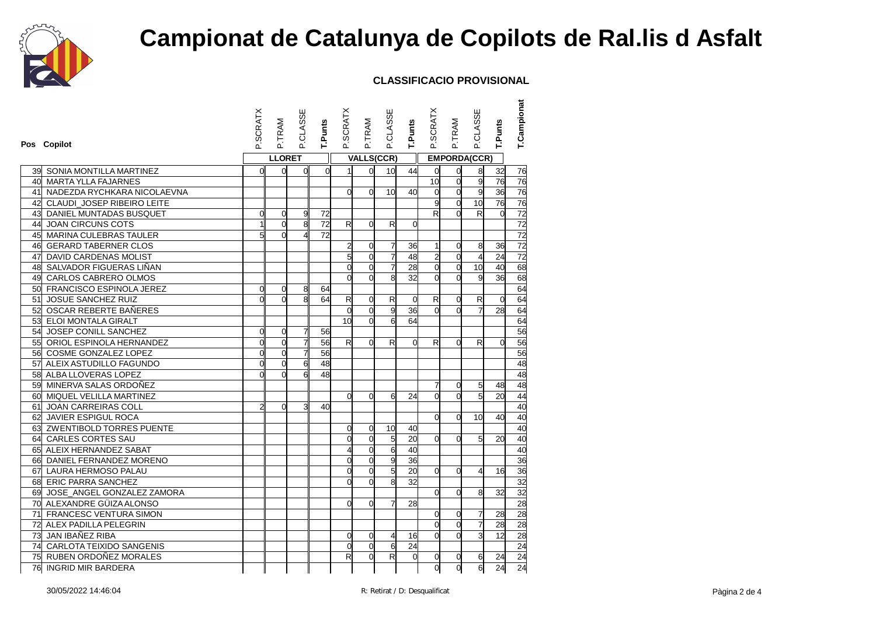

| Pos Copilot                       | P.SCRATX       | P.TRAM         | P.CLASSE       | T.Punts         | P.SCRATX       | P.TRAM            | P.CLASSE                | T.Punts        | P.SCRATX        | P.TRAM              | P.CLASSE        | T.Punts         | <b>T.Campionat</b> |
|-----------------------------------|----------------|----------------|----------------|-----------------|----------------|-------------------|-------------------------|----------------|-----------------|---------------------|-----------------|-----------------|--------------------|
|                                   |                | <b>LLORET</b>  |                |                 |                | <b>VALLS(CCR)</b> |                         |                |                 | <b>EMPORDA(CCR)</b> |                 |                 |                    |
| <b>39 SONIA MONTILLA MARTINEZ</b> | 0              | $\Omega$       | <sub>O</sub>   | $\Omega$        | 1              | $\overline{0}$    | 10 <sup>1</sup>         | 44             | 0               | 0                   | 8 <sub>l</sub>  | 32              | 76                 |
| 40 MARTA YLLA FAJARNES            |                |                |                |                 |                |                   |                         |                | $\overline{10}$ | $\Omega$            | 9               | $\overline{76}$ | 76                 |
| 41 NADEZDA RYCHKARA NICOLAEVNA    |                |                |                |                 | $\overline{0}$ | $\Omega$          | 10 <sup>1</sup>         | 40             | $\mathsf{o}$    | $\Omega$            | 9               | 36              | 76                 |
| 42 CLAUDI_JOSEP RIBEIRO LEITE     |                |                |                |                 |                |                   |                         |                | 9               | $\Omega$            | 10              | 76              | 76                 |
| 43 DANIEL MUNTADAS BUSQUET        | 0              | $\overline{0}$ | 9              | 72              |                |                   |                         |                | R               | $\Omega$            | R               | $\Omega$        | $\overline{72}$    |
| 44 JOAN CIRCUNS COTS              | 1              | $\Omega$       | 8              | $\overline{72}$ | $\mathsf{R}$   | 0                 | R                       | $\overline{0}$ |                 |                     |                 |                 | 72                 |
| 45 MARINA CULEBRAS TAULER         | $\mathbf{5}$   | $\Omega$       | $\overline{4}$ | 72              |                |                   |                         |                |                 |                     |                 |                 | 72                 |
| 46 GERARD TABERNER CLOS           |                |                |                |                 | $\overline{a}$ | 0                 | 7                       | 36             | 1               | $\Omega$            | 8               | 36              | 72                 |
| 47 DAVID CARDENAS MOLIST          |                |                |                |                 | $\overline{5}$ | $\mathbf 0$       | $\overline{7}$          | 48             | $\overline{a}$  | $\Omega$            | $\overline{4}$  | 24              | 72                 |
| 48 SALVADOR FIGUERAS LIÑAN        |                |                |                |                 | $\overline{0}$ | $\overline{0}$    | $\overline{7}$          | 28             | $\overline{0}$  | $\overline{0}$      | $\overline{10}$ | 40              | 68                 |
| 49 CARLOS CABRERO OLMOS           |                |                |                |                 | $\mathbf{0}$   | $\Omega$          | $\mathbf{8}$            | 32             | d               | $\Omega$            | 9               | 36              | 68                 |
| 50 FRANCISCO ESPINOLA JEREZ       | 0              | 0              | 8              | 64              |                |                   |                         |                |                 |                     |                 |                 | 64                 |
| 51 JOSUE SANCHEZ RUIZ             | $\Omega$       | $\Omega$       | 8              | 64              | $\overline{R}$ | $\mathbf 0$       | $\overline{\mathbf{z}}$ | 0              | R               | 0                   | R               | $\overline{0}$  | 64                 |
| 52 OSCAR REBERTE BAÑERES          |                |                |                |                 | $\overline{0}$ | $\overline{0}$    | $\mathsf{g}$            | 36             | <sub>0</sub>    | $\Omega$            |                 | 28              | 64                 |
| 53 ELOI MONTALA GIRALT            |                |                |                |                 | 10             | $\Omega$          | 6                       | 64             |                 |                     |                 |                 | 64                 |
| 54 JOSEP CONILL SANCHEZ           | $\Omega$       | $\Omega$       | 7              | 56              |                |                   |                         |                |                 |                     |                 |                 | 56                 |
| 55 ORIOL ESPINOLA HERNANDEZ       | $\Omega$       | $\overline{0}$ | $\overline{7}$ | 56              | $\mathsf{R}$   | $\Omega$          | $\mathsf{R}$            | $\Omega$       | $\mathsf{R}$    | $\Omega$            | R               | $\Omega$        | 56                 |
| 56 COSME GONZALEZ LOPEZ           | $\overline{0}$ | $\Omega$       | $\overline{7}$ | 56              |                |                   |                         |                |                 |                     |                 |                 | 56                 |
| 57 ALEIX ASTUDILLO FAGUNDO        | $\Omega$       | $\Omega$       | 6              | 48              |                |                   |                         |                |                 |                     |                 |                 | 48                 |
| 58 ALBA LLOVERAS LOPEZ            |                | $\Omega$       | 6              | 48              |                |                   |                         |                |                 |                     |                 |                 | 48                 |
| 59 MINERVA SALAS ORDOÑEZ          |                |                |                |                 |                |                   |                         |                | 7               | 0                   | 5               | 48              | 48                 |
| 60 MIQUEL VELILLA MARTINEZ        |                |                |                |                 | $\mathbf{0}$   | $\Omega$          | 6                       | 24             | d               | $\Omega$            | 5               | 20              | 44                 |
| 61 JOAN CARREIRAS COLL            | $\mathbf{z}$   | $\Omega$       | 3              | 40              |                |                   |                         |                |                 |                     |                 |                 | 40                 |
| 62 JAVIER ESPIGUL ROCA            |                |                |                |                 |                |                   |                         |                | <sub>0</sub>    | $\Omega$            | 10              | 40              | 40                 |
| 63 ZWENTIBOLD TORRES PUENTE       |                |                |                |                 | 0              | $\overline{0}$    | 10                      | 40             |                 |                     |                 |                 | 40                 |
| 64 CARLES CORTES SAU              |                |                |                |                 | $\mathbf 0$    | $\overline{0}$    | ຕ<br>                   | 20             | d               | $\Omega$            | $5\overline{5}$ | 20              | 40                 |
| 65 ALEIX HERNANDEZ SABAT          |                |                |                |                 | 4              | $\overline{0}$    | 6                       | 40             |                 |                     |                 |                 | 40                 |
| 66 DANIEL FERNANDEZ MORENO        |                |                |                |                 | $\mathbf 0$    | $\mathbf 0$       | $\overline{g}$          | 36             |                 |                     |                 |                 | 36                 |
| 67 LAURA HERMOSO PALAU            |                |                |                |                 | $\mathbf 0$    | $\overline{0}$    | $\overline{5}$          | 20             | d               | $\Omega$            | 4               | 16              | 36                 |
| 68 ERIC PARRA SANCHEZ             |                |                |                |                 | $\mathbf{0}$   | $\Omega$          | 8                       | 32             |                 |                     |                 |                 | 32                 |
| 69 JOSE_ANGEL GONZALEZ ZAMORA     |                |                |                |                 |                |                   |                         |                | $\mathbf{0}$    | $\Omega$            | 8               | 32              | 32                 |
| 70 ALEXANDRE GÜIZA ALONSO         |                |                |                |                 | $\mathbf{0}$   | $\Omega$          | ᆌ                       | 28             |                 |                     |                 |                 | 28                 |
| 71 FRANCESC VENTURA SIMON         |                |                |                |                 |                |                   |                         |                | <sub>0</sub>    | $\Omega$            | 7               | 28              | 28                 |
| 72 ALEX PADILLA PELEGRIN          |                |                |                |                 |                |                   |                         |                | d               | $\Omega$            | 7               | 28              | 28                 |
| 73 JAN IBAÑEZ RIBA                |                |                |                |                 | 0              | $\overline{0}$    | $\overline{4}$          | 16             | d               | $\Omega$            | 3               | 12              | 28                 |
| 74 CARLOTA TEIXIDO SANGENIS       |                |                |                |                 | O              | $\overline{0}$    | 6                       | 24             |                 |                     |                 |                 | 24                 |
| 75 RUBEN ORDOÑEZ MORALES          |                |                |                |                 | R              | $\mathbf 0$       | $\overline{\mathsf{R}}$ | $\mathbf 0$    | O               | 0                   | 6               | 24              | 24                 |
| 76 INGRID MIR BARDERA             |                |                |                |                 |                |                   |                         |                | d               | 0                   | $6 \,$          | 24              | 24                 |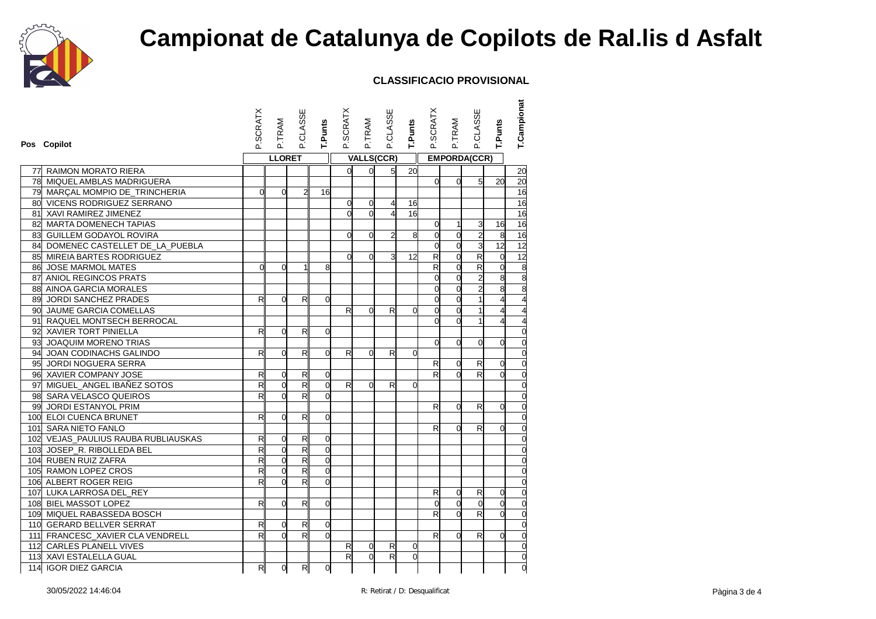

|    | Pos Copilot                         | <b>P.SCRATX</b>         | P.TRAM         | <b>P.CLASSE</b>         | T.Punts        | P.SCRATX        | P.TRAM         | P.CLASSE          | T.Punts        | P.SCRATX                | P.TRAM              | P.CLASSE                | T.Punts        | T.Campionat     |
|----|-------------------------------------|-------------------------|----------------|-------------------------|----------------|-----------------|----------------|-------------------|----------------|-------------------------|---------------------|-------------------------|----------------|-----------------|
|    |                                     |                         | <b>LLORET</b>  |                         |                |                 |                | <b>VALLS(CCR)</b> |                |                         | <b>EMPORDA(CCR)</b> |                         |                |                 |
| 77 | <b>RAIMON MORATO RIERA</b>          |                         |                |                         |                | οl              | $\overline{0}$ | 5 <sup>1</sup>    | 20             |                         |                     |                         |                | 20              |
| 78 | MIQUEL AMBLAS MADRIGUERA            |                         |                |                         |                |                 |                |                   |                | $\Omega$                | $\Omega$            | 5                       | 20             | $\overline{20}$ |
|    | 79 MARÇAL MOMPIO DE_TRINCHERIA      | $\Omega$                | $\overline{0}$ | $\mathbf{z}$            | 16             |                 |                |                   |                |                         |                     |                         |                | $\overline{16}$ |
|    | 80 VICENS RODRIGUEZ SERRANO         |                         |                |                         |                | $\overline{0}$  | $\overline{0}$ | $\overline{4}$    | 16             |                         |                     |                         |                | 16              |
|    | 81 XAVI RAMIREZ JIMENEZ             |                         |                |                         |                | d               | $\Omega$       | $\overline{4}$    | 16             |                         |                     |                         |                | 16              |
|    | 82 MARTA DOMENECH TAPIAS            |                         |                |                         |                |                 |                |                   |                | 0                       | 1                   | 3                       | 16             | $\overline{16}$ |
|    | 83 GUILLEM GODAYOL ROVIRA           |                         |                |                         |                | $\Omega$        | $\Omega$       | $\overline{2}$    | 8              | $\overline{0}$          | $\overline{0}$      | $\overline{a}$          | 8              | 16              |
| 84 | DOMENEC CASTELLET DE_LA_PUEBLA      |                         |                |                         |                |                 |                |                   |                | $\mathbf{0}$            | $\Omega$            | 3                       | 12             | 12              |
|    | 85 MIREIA BARTES RODRIGUEZ          |                         |                |                         |                | $\Omega$        | $\Omega$       | зІ                | 12             | R                       | $\overline{0}$      | $\overline{\mathbf{z}}$ | $\overline{0}$ | 12              |
|    | 86 JOSE MARMOL MATES                | $\overline{0}$          | $\Omega$       | 1                       | 8              |                 |                |                   |                | $\overline{\mathsf{R}}$ | $\overline{0}$      | $\overline{\mathbf{z}}$ | 0              | $\frac{8}{8}$   |
|    | 87 ANIOL REGINCOS PRATS             |                         |                |                         |                |                 |                |                   |                | d                       | $\overline{0}$      | $\overline{a}$          | 8              |                 |
|    | 88 AINOA GARCIA MORALES             |                         |                |                         |                |                 |                |                   |                | $\overline{0}$          | $\overline{0}$      | $\overline{2}$          | 8              | $\overline{8}$  |
|    | 89 JORDI SANCHEZ PRADES             | R                       | $\Omega$       | R                       | $\Omega$       |                 |                |                   |                | d                       | $\Omega$            |                         |                |                 |
|    | 90 JAUME GARCIA COMELLAS            |                         |                |                         |                | R               | $\Omega$       | R                 | 0              | 0                       | $\Omega$            |                         | 4              |                 |
|    | 91 RAQUEL MONTSECH BERROCAL         |                         |                |                         |                |                 |                |                   |                | d                       | $\Omega$            |                         | 4              |                 |
|    | 92 XAVIER TORT PINIELLA             | R                       | $\overline{0}$ | R                       | $\Omega$       |                 |                |                   |                |                         |                     |                         |                | 0               |
|    | 93 JOAQUIM MORENO TRIAS             |                         |                |                         |                |                 |                |                   |                | $\overline{0}$          | $\overline{0}$      | $\overline{0}$          | $\overline{0}$ | $\overline{0}$  |
|    | 94 JOAN CODINACHS GALINDO           | R                       | $\overline{0}$ | R                       | $\Omega$       | R               | $\overline{0}$ | R                 | $\Omega$       |                         |                     |                         |                | $\overline{0}$  |
|    | 95 JORDI NOGUERA SERRA              |                         |                |                         |                |                 |                |                   |                | R                       | 0                   | $\mathsf{R}$            | 0              | $\mathbf 0$     |
|    | 96 XAVIER COMPANY JOSE              | R                       | $\overline{0}$ | R                       | $\overline{O}$ |                 |                |                   |                | R                       | $\Omega$            | R                       | $\Omega$       | $\overline{0}$  |
|    | 97 MIGUEL_ANGEL IBAÑEZ SOTOS        | $\mathsf{R}$            | $\mathbf 0$    | $\overline{\mathsf{R}}$ | $\overline{0}$ | R               | $\overline{0}$ | R                 | $\overline{0}$ |                         |                     |                         |                | $\overline{0}$  |
|    | 98 SARA VELASCO QUEIROS             | $\mathsf{R}$            | $\Omega$       | $\mathsf{R}$            | $\Omega$       |                 |                |                   |                |                         |                     |                         |                | $\overline{0}$  |
|    | 99 JORDI ESTANYOL PRIM              |                         |                |                         |                |                 |                |                   |                | R                       | $\Omega$            | R                       | $\overline{0}$ | $\overline{0}$  |
|    | 100 ELOI CUENCA BRUNET              | R                       | $\overline{0}$ | R                       | $\Omega$       |                 |                |                   |                |                         |                     |                         |                | $\overline{0}$  |
|    | 101 SARA NIETO FANLO                |                         |                |                         |                |                 |                |                   |                | R                       | $\Omega$            | R                       | 0              | $\mathbf 0$     |
|    | 102 VEJAS_PAULIUS RAUBA RUBLIAUSKAS | R                       | $\overline{0}$ | $\mathsf{R}$            | $\mathbf 0$    |                 |                |                   |                |                         |                     |                         |                | $\overline{0}$  |
|    | 103 JOSEP_R. RIBOLLEDA BEL          | R                       | $\overline{0}$ | R                       | $\overline{0}$ |                 |                |                   |                |                         |                     |                         |                |                 |
|    | 104 RUBEN RUIZ ZAFRA                | $\overline{\mathsf{R}}$ | $\mathbf 0$    | R                       | $\mathbf 0$    |                 |                |                   |                |                         |                     |                         |                | $\mathbf 0$     |
|    | 105 RAMON LOPEZ CROS                | R                       | 0              | $\mathsf{R}$            | $\overline{0}$ |                 |                |                   |                |                         |                     |                         |                | $\Omega$        |
|    | 106 ALBERT ROGER REIG               | $\mathsf{R}$            | 0              | R                       | $\Omega$       |                 |                |                   |                |                         |                     |                         |                | $\overline{0}$  |
|    | 107 LUKA LARROSA DEL REY            |                         |                |                         |                |                 |                |                   |                | $\mathsf{R}$            | $\Omega$            | R                       | 0              | $\overline{0}$  |
|    | 108 BIEL MASSOT LOPEZ               | R                       | $\overline{0}$ | R                       | $\overline{0}$ |                 |                |                   |                | $\mathbf{0}$            | $\Omega$            | $\mathbf{0}$            | $\overline{0}$ | $\overline{0}$  |
|    | 109 MIQUEL RABASSEDA BOSCH          |                         |                |                         |                |                 |                |                   |                | R                       | $\Omega$            | R                       | $\overline{O}$ | $\mathbf 0$     |
|    | 110 GERARD BELLVER SERRAT           | R                       | 0              | R                       | $\overline{O}$ |                 |                |                   |                |                         |                     |                         |                | $\overline{0}$  |
|    | 111 FRANCESC_XAVIER CLA VENDRELL    | $\overline{\mathsf{R}}$ | $\Omega$       | $\overline{\mathsf{R}}$ | $\Omega$       |                 |                |                   |                | R                       | $\Omega$            | R                       | $\overline{0}$ | $\overline{0}$  |
|    | 112 CARLES PLANELL VIVES            |                         |                |                         |                | R               | $\overline{0}$ | R                 | $\Omega$       |                         |                     |                         |                | $\overline{0}$  |
|    | 113 XAVI ESTALELLA GUAL             |                         |                |                         |                | $R_{\parallel}$ | $\overline{0}$ | $\overline{R}$    | $\overline{0}$ |                         |                     |                         |                | $\overline{0}$  |
|    | 114 IGOR DIEZ GARCIA                | $R_{\parallel}$         | $\overline{O}$ | R                       | $\overline{0}$ |                 |                |                   |                |                         |                     |                         |                | $\overline{0}$  |